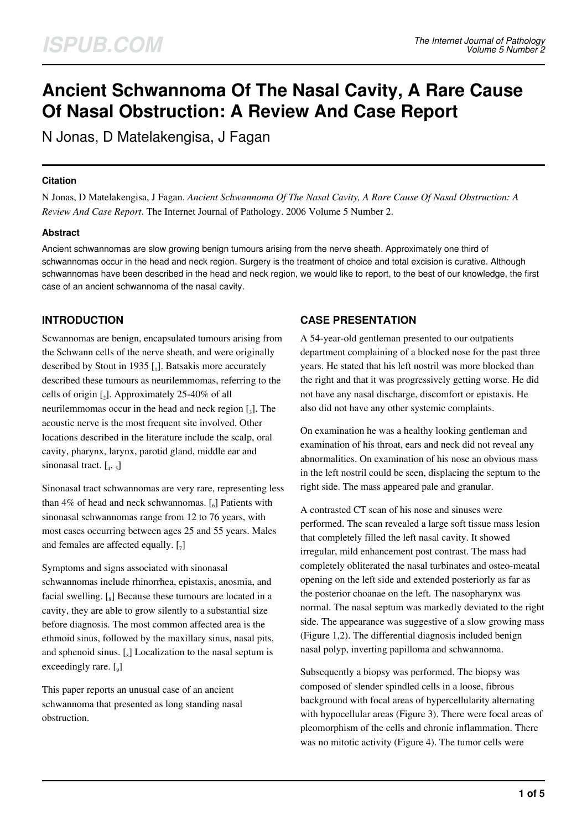# **Ancient Schwannoma Of The Nasal Cavity, A Rare Cause Of Nasal Obstruction: A Review And Case Report**

N Jonas, D Matelakengisa, J Fagan

#### **Citation**

N Jonas, D Matelakengisa, J Fagan. *Ancient Schwannoma Of The Nasal Cavity, A Rare Cause Of Nasal Obstruction: A Review And Case Report*. The Internet Journal of Pathology. 2006 Volume 5 Number 2.

## **Abstract**

Ancient schwannomas are slow growing benign tumours arising from the nerve sheath. Approximately one third of schwannomas occur in the head and neck region. Surgery is the treatment of choice and total excision is curative. Although schwannomas have been described in the head and neck region, we would like to report, to the best of our knowledge, the first case of an ancient schwannoma of the nasal cavity.

# **INTRODUCTION**

Scwannomas are benign, encapsulated tumours arising from the Schwann cells of the nerve sheath, and were originally described by Stout in 1935 [1]. Batsakis more accurately described these tumours as neurilemmomas, referring to the cells of origin  $\lbrack_2\rbrack$ . Approximately 25-40% of all neurilemmomas occur in the head and neck region  $\left[ \begin{smallmatrix} 1\\ 3 \end{smallmatrix} \right]$ . The acoustic nerve is the most frequent site involved. Other locations described in the literature include the scalp, oral cavity, pharynx, larynx, parotid gland, middle ear and sinonasal tract.  $\left[ \begin{smallmatrix} 4 \\ 4 \\ 5 \end{smallmatrix} \right]$ 

Sinonasal tract schwannomas are very rare, representing less than  $4\%$  of head and neck schwannomas.  $\left[\begin{smallmatrix}6\end{smallmatrix}\right]$  Patients with sinonasal schwannomas range from 12 to 76 years, with most cases occurring between ages 25 and 55 years. Males and females are affected equally.  $\left[\right]$ 

Symptoms and signs associated with sinonasal schwannomas include rhinorrhea, epistaxis, anosmia, and facial swelling.  $\left[\begin{smallmatrix} 1 \\ 8 \end{smallmatrix}\right]$  Because these tumours are located in a cavity, they are able to grow silently to a substantial size before diagnosis. The most common affected area is the ethmoid sinus, followed by the maxillary sinus, nasal pits, and sphenoid sinus.  $\left[\begin{smallmatrix}s\end{smallmatrix}\right]$  Localization to the nasal septum is exceedingly rare. [9]

This paper reports an unusual case of an ancient schwannoma that presented as long standing nasal obstruction.

# **CASE PRESENTATION**

A 54-year-old gentleman presented to our outpatients department complaining of a blocked nose for the past three years. He stated that his left nostril was more blocked than the right and that it was progressively getting worse. He did not have any nasal discharge, discomfort or epistaxis. He also did not have any other systemic complaints.

On examination he was a healthy looking gentleman and examination of his throat, ears and neck did not reveal any abnormalities. On examination of his nose an obvious mass in the left nostril could be seen, displacing the septum to the right side. The mass appeared pale and granular.

A contrasted CT scan of his nose and sinuses were performed. The scan revealed a large soft tissue mass lesion that completely filled the left nasal cavity. It showed irregular, mild enhancement post contrast. The mass had completely obliterated the nasal turbinates and osteo-meatal opening on the left side and extended posteriorly as far as the posterior choanae on the left. The nasopharynx was normal. The nasal septum was markedly deviated to the right side. The appearance was suggestive of a slow growing mass (Figure 1,2). The differential diagnosis included benign nasal polyp, inverting papilloma and schwannoma.

Subsequently a biopsy was performed. The biopsy was composed of slender spindled cells in a loose, fibrous background with focal areas of hypercellularity alternating with hypocellular areas (Figure 3). There were focal areas of pleomorphism of the cells and chronic inflammation. There was no mitotic activity (Figure 4). The tumor cells were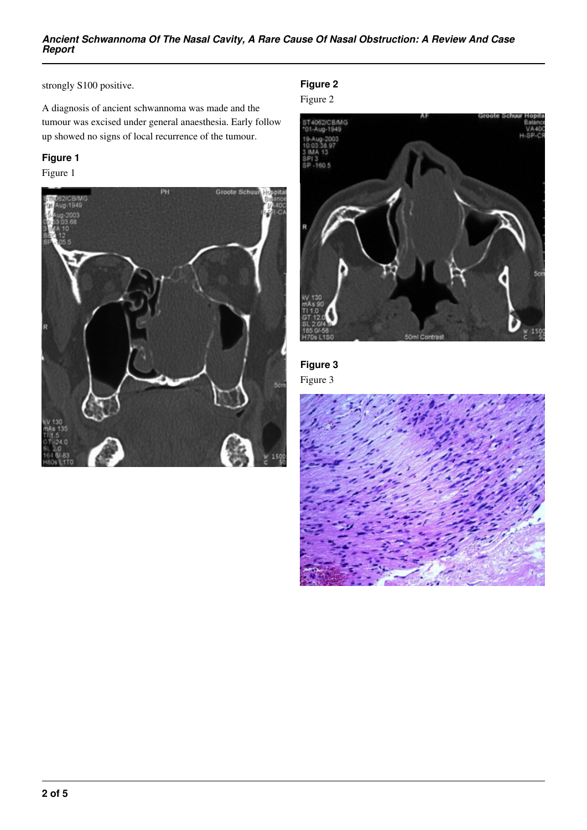#### *Ancient Schwannoma Of The Nasal Cavity, A Rare Cause Of Nasal Obstruction: A Review And Case Report*

strongly S100 positive.

A diagnosis of ancient schwannoma was made and the tumour was excised under general anaesthesia. Early follow up showed no signs of local recurrence of the tumour.

# **Figure 1**

Figure 1



**Figure 2**

Figure 2



**Figure 3**

Figure 3

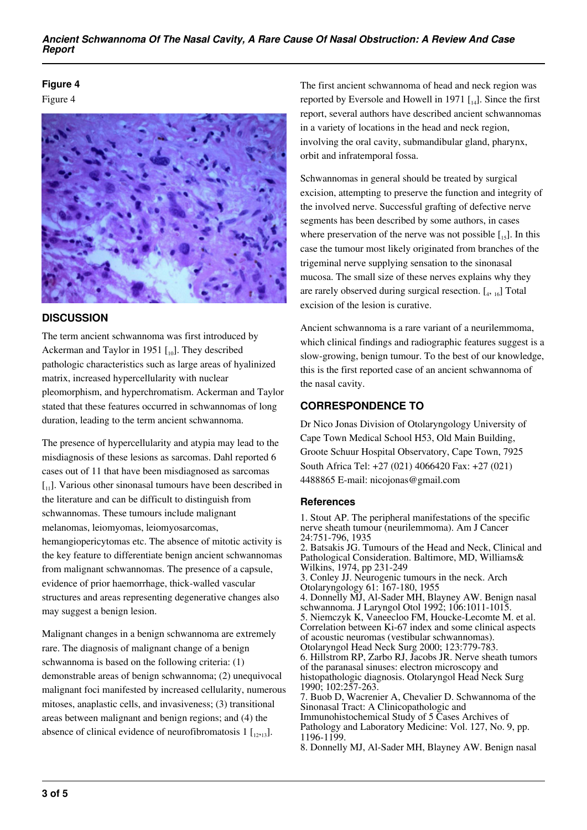#### *Ancient Schwannoma Of The Nasal Cavity, A Rare Cause Of Nasal Obstruction: A Review And Case Report*

#### **Figure 4**

Figure 4



## **DISCUSSION**

The term ancient schwannoma was first introduced by Ackerman and Taylor in 1951  $\left[ \begin{smallmatrix} 1 & 0 \end{smallmatrix} \right]$ . They described pathologic characteristics such as large areas of hyalinized matrix, increased hypercellularity with nuclear pleomorphism, and hyperchromatism. Ackerman and Taylor stated that these features occurred in schwannomas of long duration, leading to the term ancient schwannoma.

The presence of hypercellularity and atypia may lead to the misdiagnosis of these lesions as sarcomas. Dahl reported 6 cases out of 11 that have been misdiagnosed as sarcomas  $\begin{bmatrix} 1 \\ 1 \end{bmatrix}$ . Various other sinonasal tumours have been described in the literature and can be difficult to distinguish from schwannomas. These tumours include malignant melanomas, leiomyomas, leiomyosarcomas, hemangiopericytomas etc. The absence of mitotic activity is the key feature to differentiate benign ancient schwannomas from malignant schwannomas. The presence of a capsule, evidence of prior haemorrhage, thick-walled vascular structures and areas representing degenerative changes also may suggest a benign lesion.

Malignant changes in a benign schwannoma are extremely rare. The diagnosis of malignant change of a benign schwannoma is based on the following criteria: (1) demonstrable areas of benign schwannoma; (2) unequivocal malignant foci manifested by increased cellularity, numerous mitoses, anaplastic cells, and invasiveness; (3) transitional areas between malignant and benign regions; and (4) the absence of clinical evidence of neurofibromatosis 1  $\left[1,2,13\right]$ .

The first ancient schwannoma of head and neck region was reported by Eversole and Howell in 1971  $\lceil_{14}\rceil$ . Since the first report, several authors have described ancient schwannomas in a variety of locations in the head and neck region, involving the oral cavity, submandibular gland, pharynx, orbit and infratemporal fossa.

Schwannomas in general should be treated by surgical excision, attempting to preserve the function and integrity of the involved nerve. Successful grafting of defective nerve segments has been described by some authors, in cases where preservation of the nerve was not possible  $[t_{15}]$ . In this case the tumour most likely originated from branches of the trigeminal nerve supplying sensation to the sinonasal mucosa. The small size of these nerves explains why they are rarely observed during surgical resection. [<sup>4</sup> , 16] Total excision of the lesion is curative.

Ancient schwannoma is a rare variant of a neurilemmoma, which clinical findings and radiographic features suggest is a slow-growing, benign tumour. To the best of our knowledge, this is the first reported case of an ancient schwannoma of the nasal cavity.

# **CORRESPONDENCE TO**

Dr Nico Jonas Division of Otolaryngology University of Cape Town Medical School H53, Old Main Building, Groote Schuur Hospital Observatory, Cape Town, 7925 South Africa Tel: +27 (021) 4066420 Fax: +27 (021) 4488865 E-mail: nicojonas@gmail.com

## **References**

1. Stout AP. The peripheral manifestations of the specific nerve sheath tumour (neurilemmoma). Am J Cancer 24:751-796, 1935 2. Batsakis JG. Tumours of the Head and Neck, Clinical and Pathological Consideration. Baltimore, MD, Williams& Wilkins, 1974, pp 231-249 3. Conley JJ. Neurogenic tumours in the neck. Arch Otolaryngology 61: 167-180, 1955 4. Donnelly MJ, Al-Sader MH, Blayney AW. Benign nasal schwannoma. J Laryngol Otol 1992; 106:1011-1015. 5. Niemczyk K, Vaneecloo FM, Houcke-Lecomte M. et al. Correlation between Ki-67 index and some clinical aspects of acoustic neuromas (vestibular schwannomas). Otolaryngol Head Neck Surg 2000; 123:779-783. 6. Hillstrom RP, Zarbo RJ, Jacobs JR. Nerve sheath tumors of the paranasal sinuses: electron microscopy and histopathologic diagnosis. Otolaryngol Head Neck Surg 1990; 102:257-263. 7. Buob D, Wacrenier A, Chevalier D. Schwannoma of the Sinonasal Tract: A Clinicopathologic and Immunohistochemical Study of 5 Cases Archives of Pathology and Laboratory Medicine: Vol. 127, No. 9, pp. 1196-1199. 8. Donnelly MJ, Al-Sader MH, Blayney AW. Benign nasal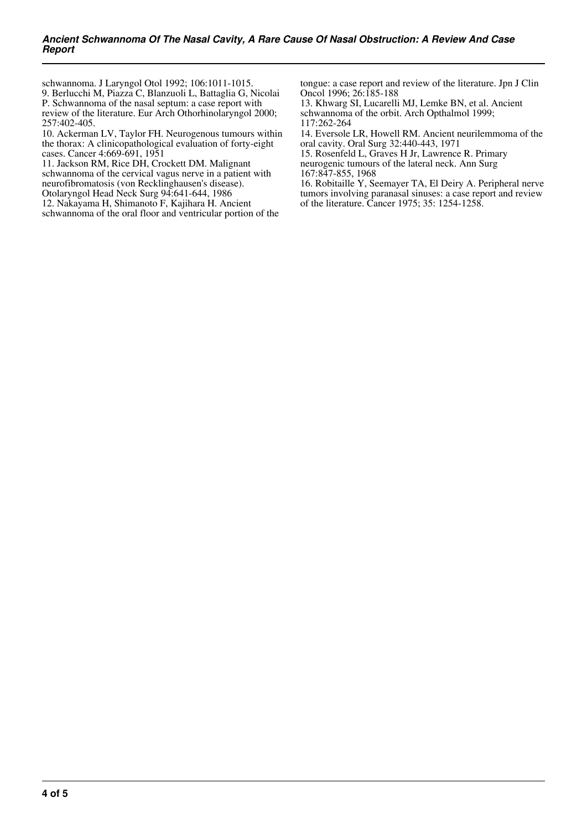schwannoma. J Laryngol Otol 1992; 106:1011-1015.

9. Berlucchi M, Piazza C, Blanzuoli L, Battaglia G, Nicolai P. Schwannoma of the nasal septum: a case report with review of the literature. Eur Arch Othorhinolaryngol 2000; 257:402-405.

10. Ackerman LV, Taylor FH. Neurogenous tumours within the thorax: A clinicopathological evaluation of forty-eight cases. Cancer 4:669-691, 1951

11. Jackson RM, Rice DH, Crockett DM. Malignant schwannoma of the cervical vagus nerve in a patient with neurofibromatosis (von Recklinghausen's disease). Otolaryngol Head Neck Surg 94:641-644, 1986

12. Nakayama H, Shimanoto F, Kajihara H. Ancient schwannoma of the oral floor and ventricular portion of the tongue: a case report and review of the literature. Jpn J Clin Oncol 1996; 26:185-188

13. Khwarg SI, Lucarelli MJ, Lemke BN, et al. Ancient schwannoma of the orbit. Arch Opthalmol 1999; 117:262-264

14. Eversole LR, Howell RM. Ancient neurilemmoma of the oral cavity. Oral Surg 32:440-443, 1971

15. Rosenfeld L, Graves H Jr, Lawrence R. Primary neurogenic tumours of the lateral neck. Ann Surg 167:847-855, 1968

16. Robitaille Y, Seemayer TA, El Deiry A. Peripheral nerve tumors involving paranasal sinuses: a case report and review of the literature. Cancer 1975; 35: 1254-1258.